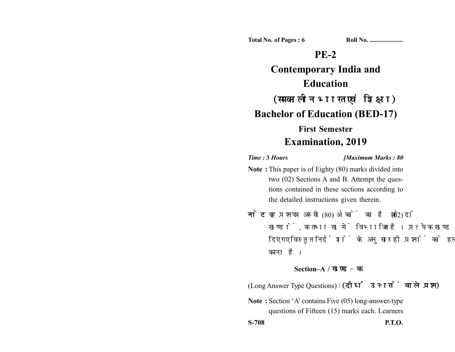**Total No. of Pages : 6 Roll No. ...................** 

# **PE-2**

**Contemporary India and Education** (समकालीन भारत एवं शिक्षा) **Bachelor of Education (BED-17) First Semester**

# **Examination, 2019**

*Time :* **3** *Hours [Maximum Marks : 80*

- **Note :** This paper is of Eighty (80) marks divided into two (02) Sections A and B. Attempt the questions contained in these sections according to the detailed instructions given therein.
- नोट: यह प्रश्नपत्र अस्सी (80) अंकों का है जो दो (02) खण्डों. क तथा ख में विभाजित है। प्रत्येक खण्ड में दिए गए विस्तृत निर्देशों के अनुसार ही प्रश्नों को हल करना है।

### **Section–A /**

(Long Answer Type Questions) / (दीर्घ उत्तरों वाले प्रश्न)

**Note :** Section 'A' contains Five (05) long-answer-type questions of Fifteen (15) marks each. Learners

**S-708 P.T.O.**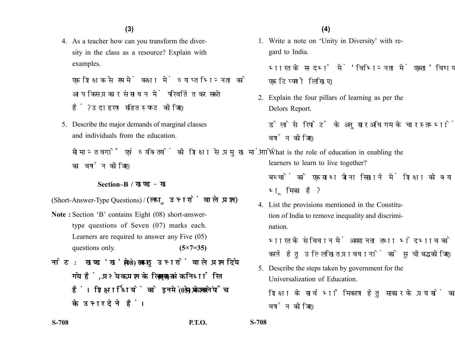4. As a teacher how can you transform the diversity in the class as a resource? Explain with examples.

एक शिक्षक से रूप में कक्षा में व्याप्त भिन्नता को आप किस प्रकार संसाधन में परिवर्तित कर सकते हैं? उदाहरण सहित स्पष्ट कीजिए।

5. Describe the major demands of marginal classes and individuals from the education.

सीमान्त वर्गों एवं व्यक्तियों की शिक्षा से प्रमुख मांगों का वर्णन कीजिए।

### **Section–B /**

(Short-Answer-Type Questions) / (लघु उत्तरों वाले प्रश्न)

- **Note :** Section 'B' contains Eight (08) short-answertype questions of Seven (07) marks each. Learners are required to answer any Five (05) questions only. **(5×7=35)**
- नोट: खण्ड 'ख' में आठ (08) लघु उत्तरों वाले प्रश्न दिये गये हैं. प्रत्येक प्रश्न के लिए सात (07) अंक निर्धारित हैं। शिक्षार्थियों को इनमें से केवल पाँच (05) प्रश्नों के उत्तर देने हैं।

1. Write a note on 'Unity in Diversity' with regard to India.

भारत के सन्दर्भ में 'विभिन्नता में एकता' विषय पर एक टिप्पणी लिखिए।

2. Explain the four pillars of learning as per the Delors Report.

डेलोर्स रिपोर्ट के अनुसार अधिगम के चार स्तम्भों का वर्णन कीजिए।

- 3. What is the role of education in enabling the learners to learn to live together?
	- बच्चों को एक साथ जीना सिखाने में शिक्षा की क्या भमिका है?
- 4. List the provisions mentioned in the Constitution of India to remove inequality and discrimination.

भारत के संविधान में असमानता तथा भेदभाव को दर करने हेतु उल्लिखित प्रावधानों को सूचीबद्ध कीजिए।

5. Describe the steps taken by government for the Universalization of Education.

शिक्षा के सार्वभौमिकरण हेतु सरकार के प्रयासों का वर्णन कोजिए।

**S-708 P.T.O. S-708**